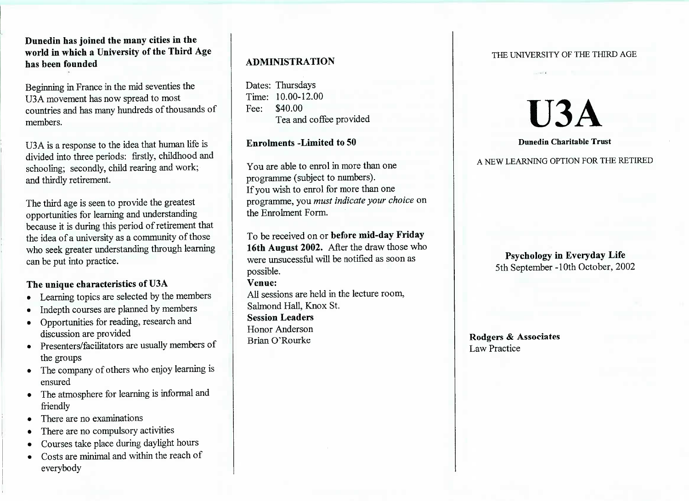## **Dunedin has joined the many cities in the world in which a University of the Third Agehas been founded**

Beginning in France in the mid seventies theUSA movement has now spread to most countries and has many hundreds of thousands ofmembers.

USA is a response to the idea that human life islivided into three periods: firstly, childhood and schooling; secondly, child rearing and work;and thirdly retirement.

The third age is seen to provide the greatest opportunities for learning and understanding because it is during this period of retirement thatthe idea of a university as a community of those who seek greater understanding through learningcan be put into practice.

## **The unique characteristics of U3A**

- Learning topics are selected by the members
- Indepth courses are planned by members
- Opportunities for reading, research anddiscussion are provided
- Presenters/facilitators are usually members of the groups
- The company of others who enjoy learning isensured
- The atmosphere for learning is informal andfriendly
- There are no examinations
- There are no compulsory activities
- Courses take place during daylight hours
- Costs are minimal and within the reach of everybody

# **ADMINISTRATION**

Dates: Thursdays $T$ ime: 10.00-12.00 Fee: \$40.00ea and coffee provided

**Enrolments -Limited to 50**

You are able to enrol in more than oneprogramme (subject to numbers).f you wish to enrol for more than one programme, you *must indicate your choice* onthe Enrolment Form.

To be received on or **before mid-day Friday 16th August 2002.** After the draw those whowere unsucessful will be notified as soon aspossible.**Venue:** All sessions are held in the lecture room,Salmond Hall, Knox St.**Session Leaders** Honor AndersonBrian O'Rourke

### THE UNIVERSITY OF THE THIRD AGE

# **U3A**

#### **Dunedin Charitable Trust**

A NEW LEARNING OPTION FOR THE RETIRED

# **Psychology in Everyday Life** 5th September -10th October, 2002

**Rodgers & Associates**Law **Practice**